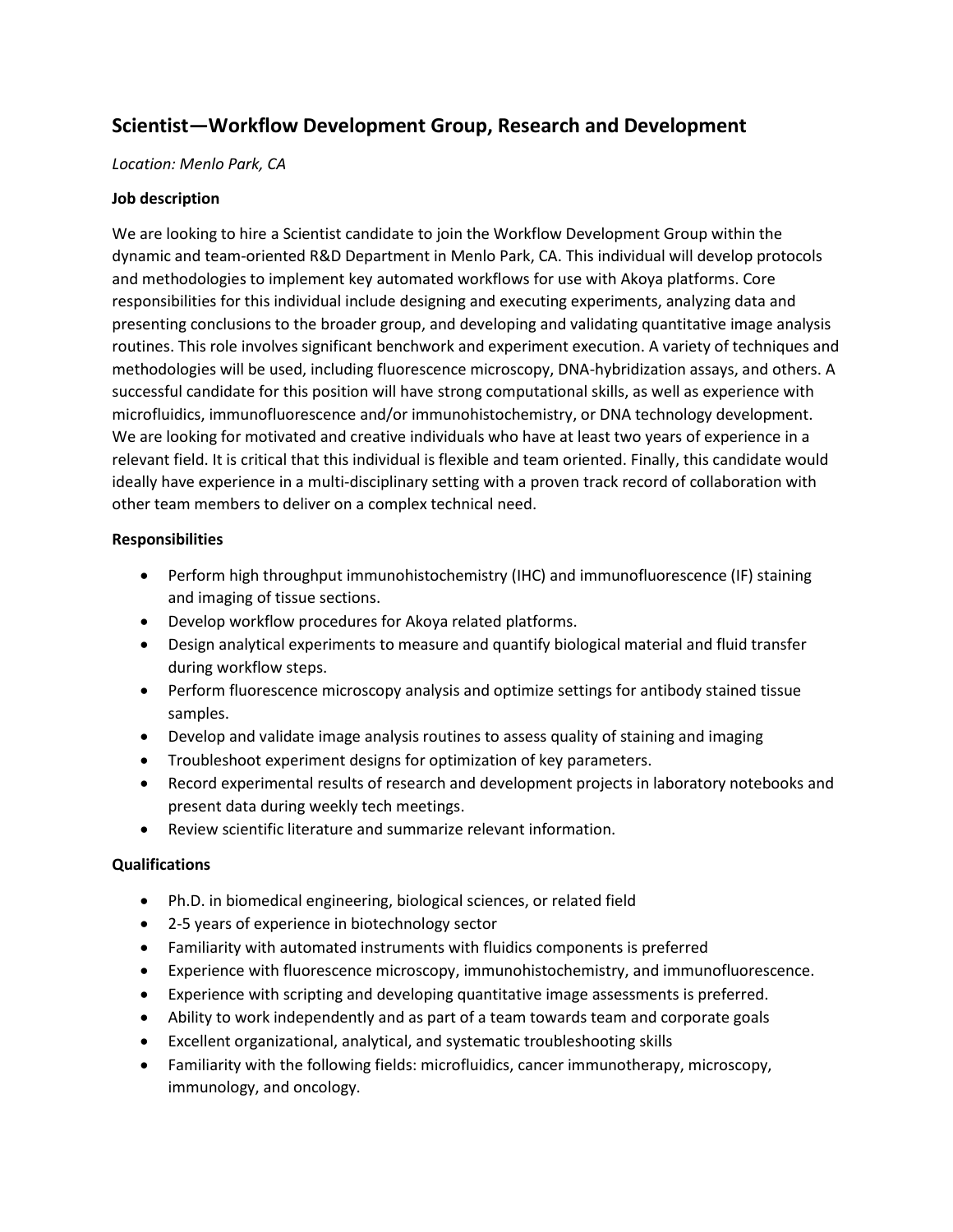# **Scientist—Workflow Development Group, Research and Development**

### *Location: Menlo Park, CA*

#### **Job description**

We are looking to hire a Scientist candidate to join the Workflow Development Group within the dynamic and team-oriented R&D Department in Menlo Park, CA. This individual will develop protocols and methodologies to implement key automated workflows for use with Akoya platforms. Core responsibilities for this individual include designing and executing experiments, analyzing data and presenting conclusions to the broader group, and developing and validating quantitative image analysis routines. This role involves significant benchwork and experiment execution. A variety of techniques and methodologies will be used, including fluorescence microscopy, DNA-hybridization assays, and others. A successful candidate for this position will have strong computational skills, as well as experience with microfluidics, immunofluorescence and/or immunohistochemistry, or DNA technology development. We are looking for motivated and creative individuals who have at least two years of experience in a relevant field. It is critical that this individual is flexible and team oriented. Finally, this candidate would ideally have experience in a multi-disciplinary setting with a proven track record of collaboration with other team members to deliver on a complex technical need.

#### **Responsibilities**

- Perform high throughput immunohistochemistry (IHC) and immunofluorescence (IF) staining and imaging of tissue sections.
- Develop workflow procedures for Akoya related platforms.
- Design analytical experiments to measure and quantify biological material and fluid transfer during workflow steps.
- Perform fluorescence microscopy analysis and optimize settings for antibody stained tissue samples.
- Develop and validate image analysis routines to assess quality of staining and imaging
- Troubleshoot experiment designs for optimization of key parameters.
- Record experimental results of research and development projects in laboratory notebooks and present data during weekly tech meetings.
- Review scientific literature and summarize relevant information.

## **Qualifications**

- Ph.D. in biomedical engineering, biological sciences, or related field
- 2-5 years of experience in biotechnology sector
- Familiarity with automated instruments with fluidics components is preferred
- Experience with fluorescence microscopy, immunohistochemistry, and immunofluorescence.
- Experience with scripting and developing quantitative image assessments is preferred.
- Ability to work independently and as part of a team towards team and corporate goals
- Excellent organizational, analytical, and systematic troubleshooting skills
- Familiarity with the following fields: microfluidics, cancer immunotherapy, microscopy, immunology, and oncology.